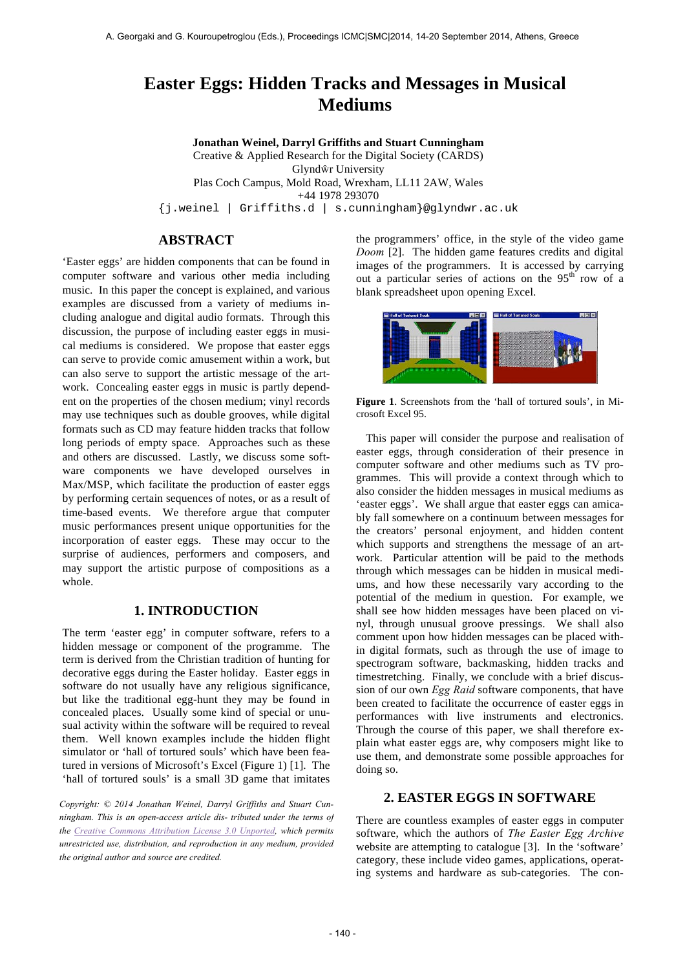# **Easter Eggs: Hidden Tracks and Messages in Musical Mediums**

**Jonathan Weinel, Darryl Griffiths and Stuart Cunningham** Creative & Applied Research for the Digital Society (CARDS) Glyndŵr University Plas Coch Campus, Mold Road, Wrexham, LL11 2AW, Wales +44 1978 293070 {j.weinel | Griffiths.d | s.cunningham}@glyndwr.ac.uk

### **ABSTRACT**

'Easter eggs' are hidden components that can be found in computer software and various other media including music. In this paper the concept is explained, and various examples are discussed from a variety of mediums including analogue and digital audio formats. Through this discussion, the purpose of including easter eggs in musical mediums is considered. We propose that easter eggs can serve to provide comic amusement within a work, but can also serve to support the artistic message of the artwork. Concealing easter eggs in music is partly dependent on the properties of the chosen medium; vinyl records may use techniques such as double grooves, while digital formats such as CD may feature hidden tracks that follow long periods of empty space. Approaches such as these and others are discussed. Lastly, we discuss some software components we have developed ourselves in Max/MSP, which facilitate the production of easter eggs by performing certain sequences of notes, or as a result of time-based events. We therefore argue that computer music performances present unique opportunities for the incorporation of easter eggs. These may occur to the surprise of audiences, performers and composers, and may support the artistic purpose of compositions as a whole.

### **1. INTRODUCTION**

The term 'easter egg' in computer software, refers to a hidden message or component of the programme. The term is derived from the Christian tradition of hunting for decorative eggs during the Easter holiday. Easter eggs in software do not usually have any religious significance, but like the traditional egg-hunt they may be found in concealed places. Usually some kind of special or unusual activity within the software will be required to reveal them. Well known examples include the hidden flight simulator or 'hall of tortured souls' which have been featured in versions of Microsoft's Excel (Figure 1) [1]. The 'hall of tortured souls' is a small 3D game that imitates

*Copyright: © 2014 Jonathan Weinel, Darryl Griffiths and Stuart Cunningham. This is an open-access article dis- tributed under the terms of the Creative Commons Attribution License 3.0 Unported, which permits unrestricted use, distribution, and reproduction in any medium, provided the original author and source are credited.*

the programmers' office, in the style of the video game *Doom* [2]. The hidden game features credits and digital images of the programmers. It is accessed by carrying out a particular series of actions on the  $95<sup>th</sup>$  row of a blank spreadsheet upon opening Excel.



**Figure 1**. Screenshots from the 'hall of tortured souls', in Microsoft Excel 95.

This paper will consider the purpose and realisation of easter eggs, through consideration of their presence in computer software and other mediums such as TV programmes. This will provide a context through which to also consider the hidden messages in musical mediums as 'easter eggs'. We shall argue that easter eggs can amicably fall somewhere on a continuum between messages for the creators' personal enjoyment, and hidden content which supports and strengthens the message of an artwork. Particular attention will be paid to the methods through which messages can be hidden in musical mediums, and how these necessarily vary according to the potential of the medium in question. For example, we shall see how hidden messages have been placed on vinyl, through unusual groove pressings. We shall also comment upon how hidden messages can be placed within digital formats, such as through the use of image to spectrogram software, backmasking, hidden tracks and timestretching. Finally, we conclude with a brief discussion of our own *Egg Raid* software components, that have been created to facilitate the occurrence of easter eggs in performances with live instruments and electronics. Through the course of this paper, we shall therefore explain what easter eggs are, why composers might like to use them, and demonstrate some possible approaches for doing so.

### **2. EASTER EGGS IN SOFTWARE**

There are countless examples of easter eggs in computer software, which the authors of *The Easter Egg Archive*  website are attempting to catalogue [3]. In the 'software' category, these include video games, applications, operating systems and hardware as sub-categories. The con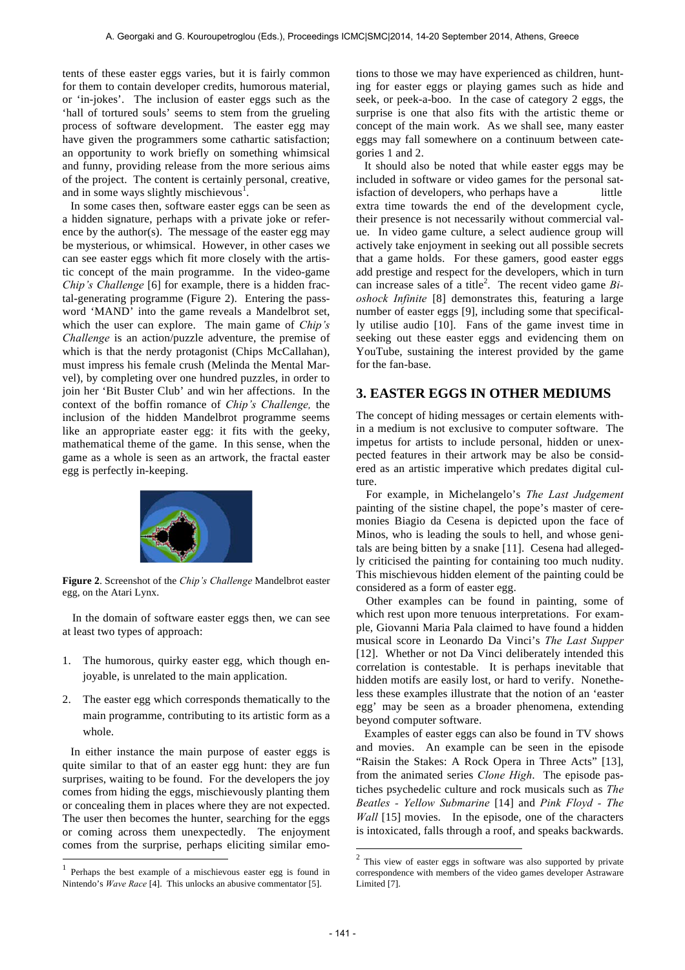tents of these easter eggs varies, but it is fairly common for them to contain developer credits, humorous material, or 'in-jokes'. The inclusion of easter eggs such as the 'hall of tortured souls' seems to stem from the grueling process of software development. The easter egg may have given the programmers some cathartic satisfaction; an opportunity to work briefly on something whimsical and funny, providing release from the more serious aims of the project. The content is certainly personal, creative, and in some ways slightly mischievous<sup>1</sup>.

In some cases then, software easter eggs can be seen as a hidden signature, perhaps with a private joke or reference by the author(s). The message of the easter egg may be mysterious, or whimsical. However, in other cases we can see easter eggs which fit more closely with the artistic concept of the main programme. In the video-game *Chip's Challenge* [6] for example, there is a hidden fractal-generating programme (Figure 2). Entering the password 'MAND' into the game reveals a Mandelbrot set, which the user can explore. The main game of *Chip's Challenge* is an action/puzzle adventure, the premise of which is that the nerdy protagonist (Chips McCallahan), must impress his female crush (Melinda the Mental Marvel), by completing over one hundred puzzles, in order to join her 'Bit Buster Club' and win her affections. In the context of the boffin romance of *Chip's Challenge,* the inclusion of the hidden Mandelbrot programme seems like an appropriate easter egg: it fits with the geeky, mathematical theme of the game. In this sense, when the game as a whole is seen as an artwork, the fractal easter egg is perfectly in-keeping.



**Figure 2**. Screenshot of the *Chip's Challenge* Mandelbrot easter egg, on the Atari Lynx.

In the domain of software easter eggs then, we can see at least two types of approach:

- 1. The humorous, quirky easter egg, which though enjoyable, is unrelated to the main application.
- 2. The easter egg which corresponds thematically to the main programme, contributing to its artistic form as a whole.

In either instance the main purpose of easter eggs is quite similar to that of an easter egg hunt: they are fun surprises, waiting to be found. For the developers the joy comes from hiding the eggs, mischievously planting them or concealing them in places where they are not expected. The user then becomes the hunter, searching for the eggs or coming across them unexpectedly. The enjoyment comes from the surprise, perhaps eliciting similar emo-

l

tions to those we may have experienced as children, hunting for easter eggs or playing games such as hide and seek, or peek-a-boo. In the case of category 2 eggs, the surprise is one that also fits with the artistic theme or concept of the main work. As we shall see, many easter eggs may fall somewhere on a continuum between categories 1 and 2.

It should also be noted that while easter eggs may be included in software or video games for the personal satisfaction of developers, who perhaps have a little extra time towards the end of the development cycle, their presence is not necessarily without commercial value. In video game culture, a select audience group will actively take enjoyment in seeking out all possible secrets that a game holds. For these gamers, good easter eggs add prestige and respect for the developers, which in turn can increase sales of a title<sup>2</sup>. The recent video game *Bioshock Infinite* [8] demonstrates this, featuring a large number of easter eggs [9], including some that specifically utilise audio [10]. Fans of the game invest time in seeking out these easter eggs and evidencing them on YouTube, sustaining the interest provided by the game for the fan-base.

# **3. EASTER EGGS IN OTHER MEDIUMS**

The concept of hiding messages or certain elements within a medium is not exclusive to computer software. The impetus for artists to include personal, hidden or unexpected features in their artwork may be also be considered as an artistic imperative which predates digital culture.

For example, in Michelangelo's *The Last Judgement*  painting of the sistine chapel, the pope's master of ceremonies Biagio da Cesena is depicted upon the face of Minos, who is leading the souls to hell, and whose genitals are being bitten by a snake [11]. Cesena had allegedly criticised the painting for containing too much nudity. This mischievous hidden element of the painting could be considered as a form of easter egg.

Other examples can be found in painting, some of which rest upon more tenuous interpretations. For example, Giovanni Maria Pala claimed to have found a hidden musical score in Leonardo Da Vinci's *The Last Supper*  [12]. Whether or not Da Vinci deliberately intended this correlation is contestable. It is perhaps inevitable that hidden motifs are easily lost, or hard to verify. Nonetheless these examples illustrate that the notion of an 'easter egg' may be seen as a broader phenomena, extending beyond computer software.

Examples of easter eggs can also be found in TV shows and movies. An example can be seen in the episode "Raisin the Stakes: A Rock Opera in Three Acts" [13], from the animated series *Clone High*. The episode pastiches psychedelic culture and rock musicals such as *The Beatles - Yellow Submarine* [14] and *Pink Floyd - The Wall* [15] movies. In the episode, one of the characters is intoxicated, falls through a roof, and speaks backwards.

<sup>1</sup> Perhaps the best example of a mischievous easter egg is found in Nintendo's *Wave Race* [4]. This unlocks an abusive commentator [5].

 $2$  This view of easter eggs in software was also supported by private correspondence with members of the video games developer Astraware Limited [7].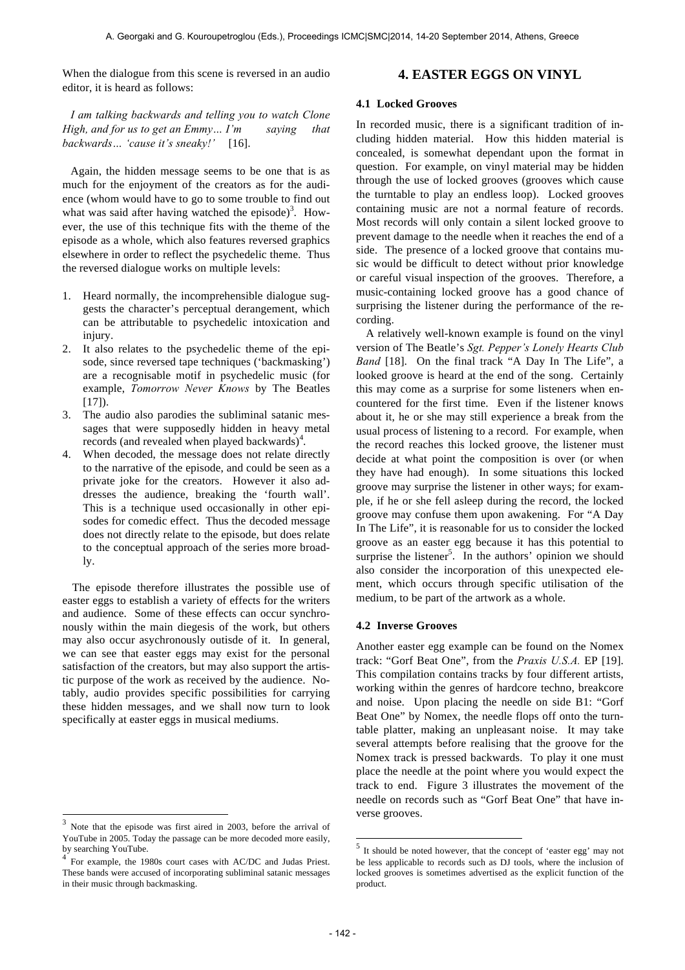When the dialogue from this scene is reversed in an audio editor, it is heard as follows:

### **4. EASTER EGGS ON VINYL**

*I am talking backwards and telling you to watch Clone High, and for us to get an Emmy… I'm saying that backwards… 'cause it's sneaky!'* [16].

Again, the hidden message seems to be one that is as much for the enjoyment of the creators as for the audience (whom would have to go to some trouble to find out what was said after having watched the episode)<sup>3</sup>. However, the use of this technique fits with the theme of the episode as a whole, which also features reversed graphics elsewhere in order to reflect the psychedelic theme. Thus the reversed dialogue works on multiple levels:

- 1. Heard normally, the incomprehensible dialogue suggests the character's perceptual derangement, which can be attributable to psychedelic intoxication and injury.
- 2. It also relates to the psychedelic theme of the episode, since reversed tape techniques ('backmasking') are a recognisable motif in psychedelic music (for example, *Tomorrow Never Knows* by The Beatles  $[17]$ ).
- 3. The audio also parodies the subliminal satanic messages that were supposedly hidden in heavy metal records (and revealed when played backwards)<sup>4</sup>.
- 4. When decoded, the message does not relate directly to the narrative of the episode, and could be seen as a private joke for the creators. However it also addresses the audience, breaking the 'fourth wall'. This is a technique used occasionally in other episodes for comedic effect. Thus the decoded message does not directly relate to the episode, but does relate to the conceptual approach of the series more broadly.

The episode therefore illustrates the possible use of easter eggs to establish a variety of effects for the writers and audience. Some of these effects can occur synchronously within the main diegesis of the work, but others may also occur asychronously outisde of it. In general, we can see that easter eggs may exist for the personal satisfaction of the creators, but may also support the artistic purpose of the work as received by the audience. Notably, audio provides specific possibilities for carrying these hidden messages, and we shall now turn to look specifically at easter eggs in musical mediums.

-

### **4.1 Locked Grooves**

In recorded music, there is a significant tradition of including hidden material. How this hidden material is concealed, is somewhat dependant upon the format in question. For example, on vinyl material may be hidden through the use of locked grooves (grooves which cause the turntable to play an endless loop). Locked grooves containing music are not a normal feature of records. Most records will only contain a silent locked groove to prevent damage to the needle when it reaches the end of a side. The presence of a locked groove that contains music would be difficult to detect without prior knowledge or careful visual inspection of the grooves. Therefore, a music-containing locked groove has a good chance of surprising the listener during the performance of the recording.

A relatively well-known example is found on the vinyl version of The Beatle's *Sgt. Pepper's Lonely Hearts Club Band* [18]. On the final track "A Day In The Life", a looked groove is heard at the end of the song. Certainly this may come as a surprise for some listeners when encountered for the first time. Even if the listener knows about it, he or she may still experience a break from the usual process of listening to a record. For example, when the record reaches this locked groove, the listener must decide at what point the composition is over (or when they have had enough). In some situations this locked groove may surprise the listener in other ways; for example, if he or she fell asleep during the record, the locked groove may confuse them upon awakening. For "A Day In The Life", it is reasonable for us to consider the locked groove as an easter egg because it has this potential to surprise the listener<sup>5</sup>. In the authors' opinion we should also consider the incorporation of this unexpected element, which occurs through specific utilisation of the medium, to be part of the artwork as a whole.

#### **4.2 Inverse Grooves**

Another easter egg example can be found on the Nomex track: "Gorf Beat One", from the *Praxis U.S.A.* EP [19]. This compilation contains tracks by four different artists, working within the genres of hardcore techno, breakcore and noise. Upon placing the needle on side B1: "Gorf Beat One" by Nomex, the needle flops off onto the turntable platter, making an unpleasant noise. It may take several attempts before realising that the groove for the Nomex track is pressed backwards. To play it one must place the needle at the point where you would expect the track to end. Figure 3 illustrates the movement of the needle on records such as "Gorf Beat One" that have inverse grooves.

<sup>3</sup> Note that the episode was first aired in 2003, before the arrival of YouTube in 2005. Today the passage can be more decoded more easily, by searching YouTube.

<sup>4</sup> For example, the 1980s court cases with AC/DC and Judas Priest. These bands were accused of incorporating subliminal satanic messages in their music through backmasking.

<sup>5</sup> It should be noted however, that the concept of 'easter egg' may not be less applicable to records such as DJ tools, where the inclusion of locked grooves is sometimes advertised as the explicit function of the product.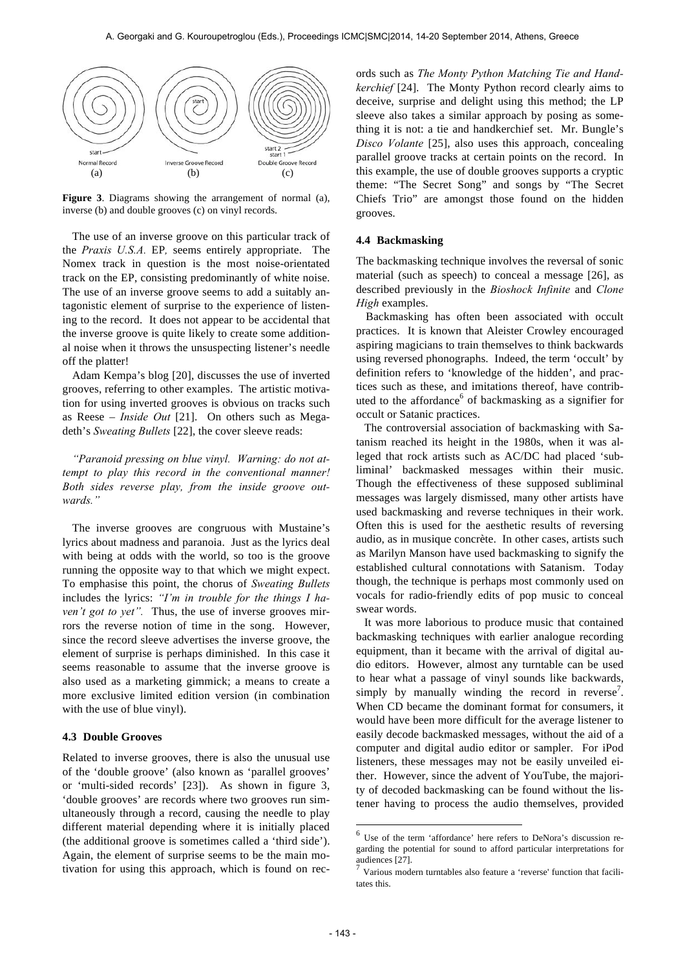

**Figure 3**. Diagrams showing the arrangement of normal (a), inverse (b) and double grooves (c) on vinyl records.

The use of an inverse groove on this particular track of the *Praxis U.S.A.* EP*,* seems entirely appropriate. The Nomex track in question is the most noise-orientated track on the EP, consisting predominantly of white noise. The use of an inverse groove seems to add a suitably antagonistic element of surprise to the experience of listening to the record. It does not appear to be accidental that the inverse groove is quite likely to create some additional noise when it throws the unsuspecting listener's needle off the platter!

Adam Kempa's blog [20], discusses the use of inverted grooves, referring to other examples. The artistic motivation for using inverted grooves is obvious on tracks such as Reese – *Inside Out* [21]. On others such as Megadeth's *Sweating Bullets* [22], the cover sleeve reads:

*"Paranoid pressing on blue vinyl. Warning: do not attempt to play this record in the conventional manner! Both sides reverse play, from the inside groove outwards."*

The inverse grooves are congruous with Mustaine's lyrics about madness and paranoia. Just as the lyrics deal with being at odds with the world, so too is the groove running the opposite way to that which we might expect. To emphasise this point, the chorus of *Sweating Bullets*  includes the lyrics: *"I'm in trouble for the things I haven't got to yet"*. Thus, the use of inverse grooves mirrors the reverse notion of time in the song. However, since the record sleeve advertises the inverse groove, the element of surprise is perhaps diminished. In this case it seems reasonable to assume that the inverse groove is also used as a marketing gimmick; a means to create a more exclusive limited edition version (in combination with the use of blue vinyl).

#### **4.3 Double Grooves**

Related to inverse grooves, there is also the unusual use of the 'double groove' (also known as 'parallel grooves' or 'multi-sided records' [23]). As shown in figure 3, 'double grooves' are records where two grooves run simultaneously through a record, causing the needle to play different material depending where it is initially placed (the additional groove is sometimes called a 'third side'). Again, the element of surprise seems to be the main motivation for using this approach, which is found on records such as *The Monty Python Matching Tie and Handkerchief* [24]. The Monty Python record clearly aims to deceive, surprise and delight using this method; the LP sleeve also takes a similar approach by posing as something it is not: a tie and handkerchief set. Mr. Bungle's *Disco Volante* [25], also uses this approach, concealing parallel groove tracks at certain points on the record. In this example, the use of double grooves supports a cryptic theme: "The Secret Song" and songs by "The Secret Chiefs Trio" are amongst those found on the hidden grooves.

#### **4.4 Backmasking**

The backmasking technique involves the reversal of sonic material (such as speech) to conceal a message [26], as described previously in the *Bioshock Infinite* and *Clone High* examples.

Backmasking has often been associated with occult practices. It is known that Aleister Crowley encouraged aspiring magicians to train themselves to think backwards using reversed phonographs. Indeed, the term 'occult' by definition refers to 'knowledge of the hidden', and practices such as these, and imitations thereof, have contributed to the affordance $<sup>6</sup>$  of backmasking as a signifier for</sup> occult or Satanic practices.

The controversial association of backmasking with Satanism reached its height in the 1980s, when it was alleged that rock artists such as AC/DC had placed 'subliminal' backmasked messages within their music. Though the effectiveness of these supposed subliminal messages was largely dismissed, many other artists have used backmasking and reverse techniques in their work. Often this is used for the aesthetic results of reversing audio, as in musique concrète. In other cases, artists such as Marilyn Manson have used backmasking to signify the established cultural connotations with Satanism. Today though, the technique is perhaps most commonly used on vocals for radio-friendly edits of pop music to conceal swear words.

It was more laborious to produce music that contained backmasking techniques with earlier analogue recording equipment, than it became with the arrival of digital audio editors. However, almost any turntable can be used to hear what a passage of vinyl sounds like backwards, simply by manually winding the record in reverse<sup>7</sup>. When CD became the dominant format for consumers, it would have been more difficult for the average listener to easily decode backmasked messages, without the aid of a computer and digital audio editor or sampler. For iPod listeners, these messages may not be easily unveiled either. However, since the advent of YouTube, the majority of decoded backmasking can be found without the listener having to process the audio themselves, provided

<sup>6</sup> Use of the term 'affordance' here refers to DeNora's discussion regarding the potential for sound to afford particular interpretations for audiences [27].<br><sup>7</sup> Various modern turntables also feature a 'reverse' function that facili-

tates this.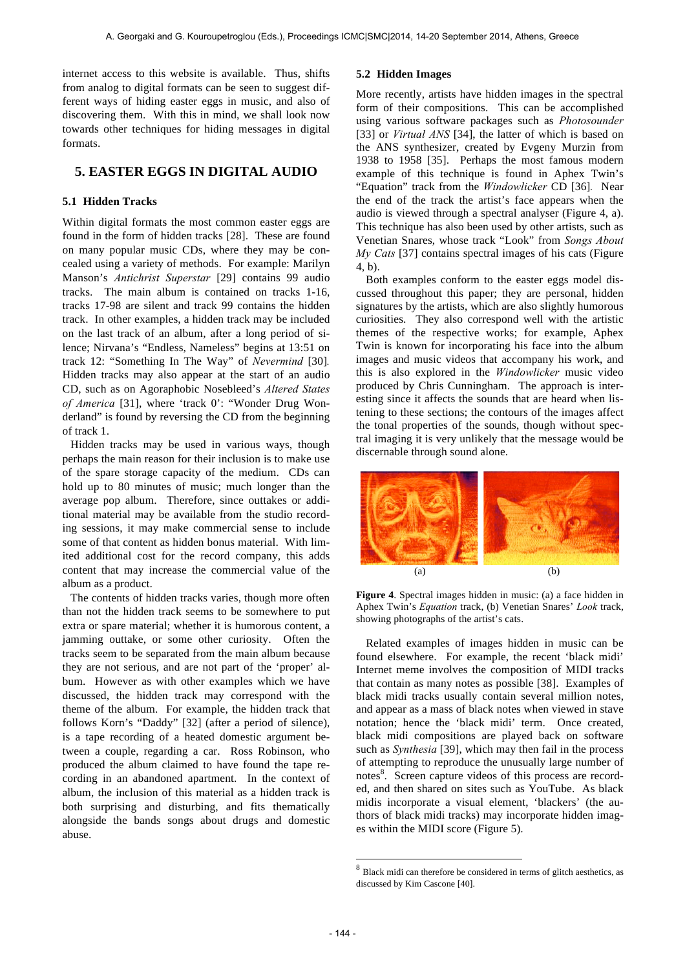internet access to this website is available. Thus, shifts from analog to digital formats can be seen to suggest different ways of hiding easter eggs in music, and also of discovering them. With this in mind, we shall look now towards other techniques for hiding messages in digital formats.

# **5. EASTER EGGS IN DIGITAL AUDIO**

### **5.1 Hidden Tracks**

Within digital formats the most common easter eggs are found in the form of hidden tracks [28]. These are found on many popular music CDs, where they may be concealed using a variety of methods. For example: Marilyn Manson's *Antichrist Superstar* [29] contains 99 audio tracks. The main album is contained on tracks 1-16, tracks 17-98 are silent and track 99 contains the hidden track. In other examples, a hidden track may be included on the last track of an album, after a long period of silence; Nirvana's "Endless, Nameless" begins at 13:51 on track 12: "Something In The Way" of *Nevermind* [30]*.*  Hidden tracks may also appear at the start of an audio CD, such as on Agoraphobic Nosebleed's *Altered States of America* [31], where 'track 0': "Wonder Drug Wonderland" is found by reversing the CD from the beginning of track 1.

Hidden tracks may be used in various ways, though perhaps the main reason for their inclusion is to make use of the spare storage capacity of the medium. CDs can hold up to 80 minutes of music; much longer than the average pop album. Therefore, since outtakes or additional material may be available from the studio recording sessions, it may make commercial sense to include some of that content as hidden bonus material. With limited additional cost for the record company, this adds content that may increase the commercial value of the album as a product.

The contents of hidden tracks varies, though more often than not the hidden track seems to be somewhere to put extra or spare material; whether it is humorous content, a jamming outtake, or some other curiosity. Often the tracks seem to be separated from the main album because they are not serious, and are not part of the 'proper' album. However as with other examples which we have discussed, the hidden track may correspond with the theme of the album. For example, the hidden track that follows Korn's "Daddy" [32] (after a period of silence), is a tape recording of a heated domestic argument between a couple, regarding a car. Ross Robinson, who produced the album claimed to have found the tape recording in an abandoned apartment. In the context of album, the inclusion of this material as a hidden track is both surprising and disturbing, and fits thematically alongside the bands songs about drugs and domestic abuse.

#### **5.2 Hidden Images**

More recently, artists have hidden images in the spectral form of their compositions. This can be accomplished using various software packages such as *Photosounder*  [33] or *Virtual ANS* [34], the latter of which is based on the ANS synthesizer, created by Evgeny Murzin from 1938 to 1958 [35]. Perhaps the most famous modern example of this technique is found in Aphex Twin's "Equation" track from the *Windowlicker* CD [36]*.* Near the end of the track the artist's face appears when the audio is viewed through a spectral analyser (Figure 4, a). This technique has also been used by other artists, such as Venetian Snares, whose track "Look" from *Songs About My Cats* [37] contains spectral images of his cats (Figure 4, b).

Both examples conform to the easter eggs model discussed throughout this paper; they are personal, hidden signatures by the artists, which are also slightly humorous curiosities. They also correspond well with the artistic themes of the respective works; for example, Aphex Twin is known for incorporating his face into the album images and music videos that accompany his work, and this is also explored in the *Windowlicker* music video produced by Chris Cunningham. The approach is interesting since it affects the sounds that are heard when listening to these sections; the contours of the images affect the tonal properties of the sounds, though without spectral imaging it is very unlikely that the message would be discernable through sound alone.



**Figure 4**. Spectral images hidden in music: (a) a face hidden in Aphex Twin's *Equation* track, (b) Venetian Snares' *Look* track, showing photographs of the artist's cats.

Related examples of images hidden in music can be found elsewhere. For example, the recent 'black midi' Internet meme involves the composition of MIDI tracks that contain as many notes as possible [38]. Examples of black midi tracks usually contain several million notes, and appear as a mass of black notes when viewed in stave notation; hence the 'black midi' term. Once created, black midi compositions are played back on software such as *Synthesia* [39], which may then fail in the process of attempting to reproduce the unusually large number of notes<sup>8</sup>. Screen capture videos of this process are recorded, and then shared on sites such as YouTube. As black midis incorporate a visual element, 'blackers' (the authors of black midi tracks) may incorporate hidden images within the MIDI score (Figure 5).

 $^8$  Black midi can therefore be considered in terms of glitch aesthetics, as discussed by Kim Cascone [40].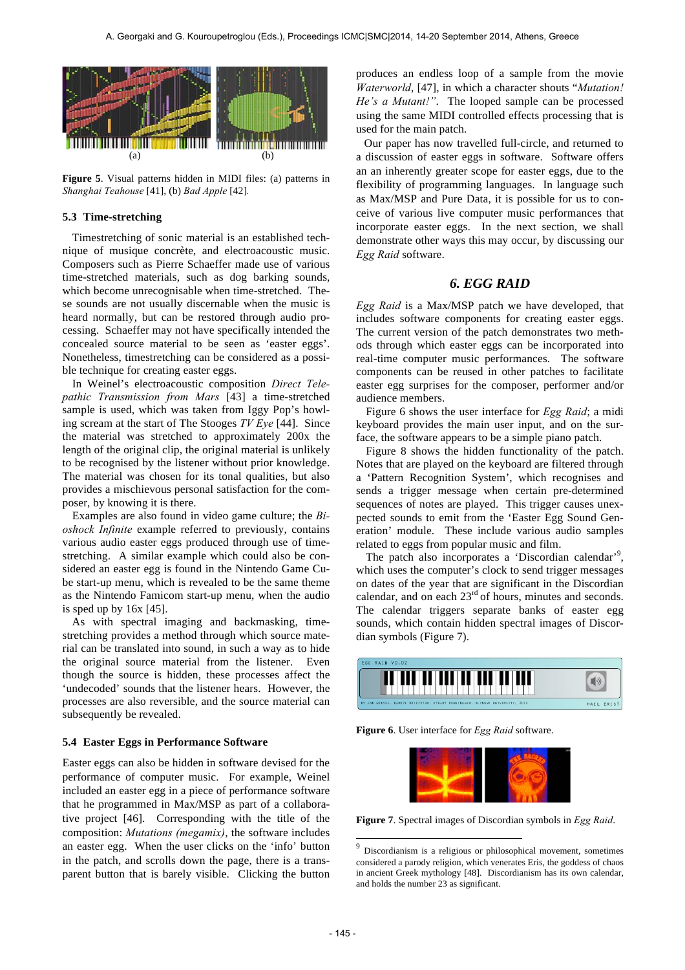

**Figure 5**. Visual patterns hidden in MIDI files: (a) patterns in *Shanghai Teahouse* [41], (b) *Bad Apple* [42]*.* 

#### **5.3 Time-stretching**

Timestretching of sonic material is an established technique of musique concrète, and electroacoustic music. Composers such as Pierre Schaeffer made use of various time-stretched materials, such as dog barking sounds, which become unrecognisable when time-stretched. These sounds are not usually discernable when the music is heard normally, but can be restored through audio processing. Schaeffer may not have specifically intended the concealed source material to be seen as 'easter eggs'. Nonetheless, timestretching can be considered as a possible technique for creating easter eggs.

In Weinel's electroacoustic composition *Direct Telepathic Transmission from Mars* [43] a time-stretched sample is used, which was taken from Iggy Pop's howling scream at the start of The Stooges *TV Eye* [44]. Since the material was stretched to approximately 200x the length of the original clip, the original material is unlikely to be recognised by the listener without prior knowledge. The material was chosen for its tonal qualities, but also provides a mischievous personal satisfaction for the composer, by knowing it is there.

Examples are also found in video game culture; the *Bioshock Infinite* example referred to previously, contains various audio easter eggs produced through use of timestretching. A similar example which could also be considered an easter egg is found in the Nintendo Game Cube start-up menu, which is revealed to be the same theme as the Nintendo Famicom start-up menu, when the audio is sped up by 16x [45].

As with spectral imaging and backmasking, timestretching provides a method through which source material can be translated into sound, in such a way as to hide the original source material from the listener. Even though the source is hidden, these processes affect the 'undecoded' sounds that the listener hears. However, the processes are also reversible, and the source material can subsequently be revealed.

#### **5.4 Easter Eggs in Performance Software**

Easter eggs can also be hidden in software devised for the performance of computer music. For example, Weinel included an easter egg in a piece of performance software that he programmed in Max/MSP as part of a collaborative project [46]. Corresponding with the title of the composition: *Mutations (megamix)*, the software includes an easter egg. When the user clicks on the 'info' button in the patch, and scrolls down the page, there is a transparent button that is barely visible. Clicking the button

produces an endless loop of a sample from the movie *Waterworld*, [47], in which a character shouts "*Mutation! He's a Mutant!"*. The looped sample can be processed using the same MIDI controlled effects processing that is used for the main patch.

Our paper has now travelled full-circle, and returned to a discussion of easter eggs in software. Software offers an an inherently greater scope for easter eggs, due to the flexibility of programming languages. In language such as Max/MSP and Pure Data, it is possible for us to conceive of various live computer music performances that incorporate easter eggs. In the next section, we shall demonstrate other ways this may occur, by discussing our *Egg Raid* software.

# *6. EGG RAID*

*Egg Raid* is a Max/MSP patch we have developed, that includes software components for creating easter eggs. The current version of the patch demonstrates two methods through which easter eggs can be incorporated into real-time computer music performances. The software components can be reused in other patches to facilitate easter egg surprises for the composer, performer and/or audience members.

Figure 6 shows the user interface for *Egg Raid*; a midi keyboard provides the main user input, and on the surface, the software appears to be a simple piano patch.

Figure 8 shows the hidden functionality of the patch. Notes that are played on the keyboard are filtered through a 'Pattern Recognition System', which recognises and sends a trigger message when certain pre-determined sequences of notes are played. This trigger causes unexpected sounds to emit from the 'Easter Egg Sound Generation' module. These include various audio samples related to eggs from popular music and film.

The patch also incorporates a 'Discordian calendar'<sup>9</sup>, which uses the computer's clock to send trigger messages on dates of the year that are significant in the Discordian calendar, and on each  $23<sup>rd</sup>$  of hours, minutes and seconds. The calendar triggers separate banks of easter egg sounds, which contain hidden spectral images of Discordian symbols (Figure 7).



**Figure 6**. User interface for *Egg Raid* software.



**Figure 7**. Spectral images of Discordian symbols in *Egg Raid*.

Discordianism is a religious or philosophical movement, sometimes considered a parody religion, which venerates Eris, the goddess of chaos in ancient Greek mythology [48]. Discordianism has its own calendar, and holds the number 23 as significant.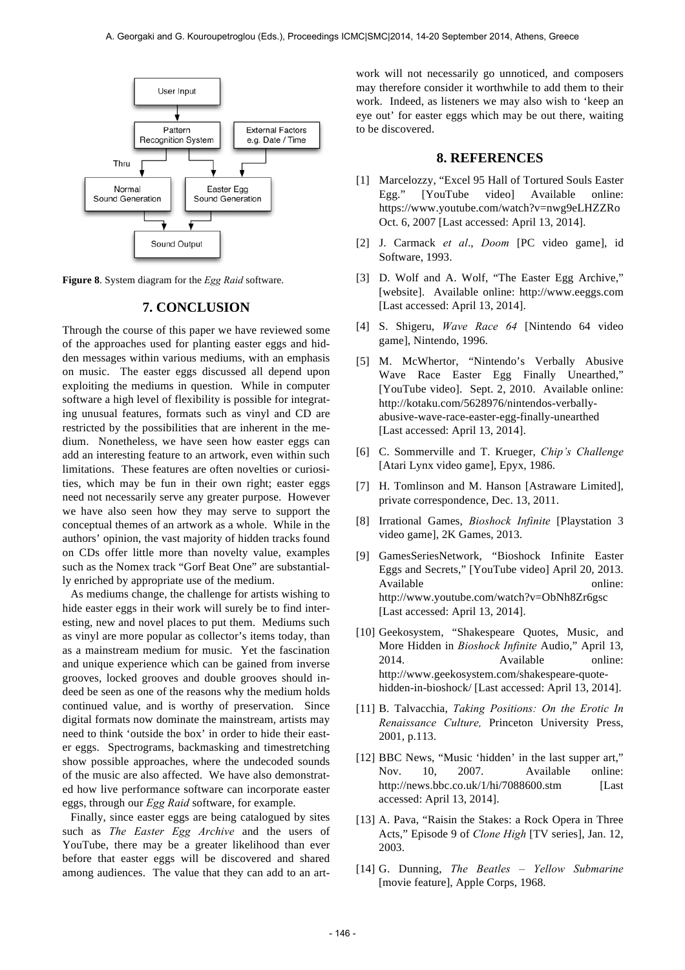

**Figure 8**. System diagram for the *Egg Raid* software.

### **7. CONCLUSION**

Through the course of this paper we have reviewed some of the approaches used for planting easter eggs and hidden messages within various mediums, with an emphasis on music. The easter eggs discussed all depend upon exploiting the mediums in question. While in computer software a high level of flexibility is possible for integrating unusual features, formats such as vinyl and CD are restricted by the possibilities that are inherent in the medium. Nonetheless, we have seen how easter eggs can add an interesting feature to an artwork, even within such limitations. These features are often novelties or curiosities, which may be fun in their own right; easter eggs need not necessarily serve any greater purpose. However we have also seen how they may serve to support the conceptual themes of an artwork as a whole. While in the authors' opinion, the vast majority of hidden tracks found on CDs offer little more than novelty value, examples such as the Nomex track "Gorf Beat One" are substantially enriched by appropriate use of the medium.

As mediums change, the challenge for artists wishing to hide easter eggs in their work will surely be to find interesting, new and novel places to put them. Mediums such as vinyl are more popular as collector's items today, than as a mainstream medium for music. Yet the fascination and unique experience which can be gained from inverse grooves, locked grooves and double grooves should indeed be seen as one of the reasons why the medium holds continued value, and is worthy of preservation. Since digital formats now dominate the mainstream, artists may need to think 'outside the box' in order to hide their easter eggs. Spectrograms, backmasking and timestretching show possible approaches, where the undecoded sounds of the music are also affected. We have also demonstrated how live performance software can incorporate easter eggs, through our *Egg Raid* software, for example.

Finally, since easter eggs are being catalogued by sites such as *The Easter Egg Archive* and the users of YouTube, there may be a greater likelihood than ever before that easter eggs will be discovered and shared among audiences. The value that they can add to an artwork will not necessarily go unnoticed, and composers may therefore consider it worthwhile to add them to their work. Indeed, as listeners we may also wish to 'keep an eye out' for easter eggs which may be out there, waiting to be discovered.

## **8. REFERENCES**

- [1] Marcelozzy, "Excel 95 Hall of Tortured Souls Easter Egg." [YouTube video] Available online: https://www.youtube.com/watch?v=nwg9eLHZZRo Oct. 6, 2007 [Last accessed: April 13, 2014].
- [2] J. Carmack *et al*., *Doom* [PC video game], id Software, 1993.
- [3] D. Wolf and A. Wolf, "The Easter Egg Archive," [website]. Available online: http://www.eeggs.com [Last accessed: April 13, 2014].
- [4] S. Shigeru, *Wave Race 64* [Nintendo 64 video game], Nintendo, 1996.
- [5] M. McWhertor, "Nintendo's Verbally Abusive Wave Race Easter Egg Finally Unearthed," [YouTube video]. Sept. 2, 2010. Available online: http://kotaku.com/5628976/nintendos-verballyabusive-wave-race-easter-egg-finally-unearthed [Last accessed: April 13, 2014].
- [6] C. Sommerville and T. Krueger, *Chip's Challenge* [Atari Lynx video game], Epyx, 1986.
- [7] H. Tomlinson and M. Hanson [Astraware Limited], private correspondence, Dec. 13, 2011.
- [8] Irrational Games, *Bioshock Infinite* [Playstation 3 video game], 2K Games, 2013.
- [9] GamesSeriesNetwork, "Bioshock Infinite Easter Eggs and Secrets," [YouTube video] April 20, 2013. Available online: http://www.youtube.com/watch?v=ObNh8Zr6gsc [Last accessed: April 13, 2014].
- [10] Geekosystem, "Shakespeare Quotes, Music, and More Hidden in *Bioshock Infinite* Audio," April 13, 2014. Available online: http://www.geekosystem.com/shakespeare-quotehidden-in-bioshock/ [Last accessed: April 13, 2014].
- [11] B. Talvacchia, *Taking Positions: On the Erotic In Renaissance Culture,* Princeton University Press, 2001, p.113.
- [12] BBC News, "Music 'hidden' in the last supper art," Nov. 10, 2007. Available online: http://news.bbc.co.uk/1/hi/7088600.stm [Last] accessed: April 13, 2014].
- [13] A. Pava, "Raisin the Stakes: a Rock Opera in Three Acts," Episode 9 of *Clone High* [TV series], Jan. 12, 2003.
- [14] G. Dunning, *The Beatles Yellow Submarine* [movie feature], Apple Corps, 1968.